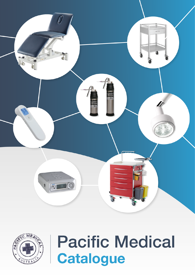



# **Pacific Medical Catalogue**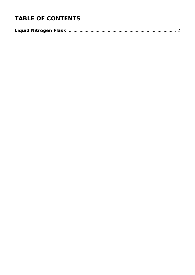# **TABLE OF CONTENTS**

|--|--|--|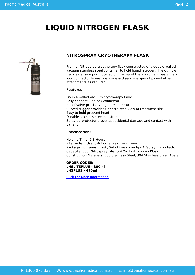# <span id="page-2-1"></span><span id="page-2-0"></span>**LIQUID NITROGEN FLASK**



# **NITROSPRAY CRYOTHERAPY FLASK**

Premier Nitrospray cryotherapy flask constructed of a double-walled vacuum stainless steel container to hold liquid nitrogen. The outflow track extension port, located on the top of the instrument has a luerlock connector to easily engage & disengage spray tips and other attachments as required.

#### **Features:**

Double walled vacuum cryotherapy flask Easy connect luer lock connector Relief valve precisely regulates pressure Curved trigger provides unobstructed view of treatment site Easy to hold grooved head Durable stainless steel construction Spray tip protector prevents accidental damage and contact with patient

#### **Specification:**

Holding Time: 6-8 Hours Intermittent Use: 3-6 Hours Treatment Time Package Inclusions: Flask, Set of five spray tips & Spray tip protector Capacity: 300 (Nitrospray Lite) & 475ml (Nitrospray Plus) Construction Materials: 303 Stainless Steel, 304 Stainless Steel, Acetal

#### **ORDER CODES: LNSLITEPLUS - 300ml LNSPLUS - 475ml**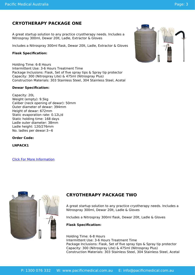# <span id="page-3-0"></span>**CRYOTHERAPY PACKAGE ONE**

A great startup solution to any practice cryotherapy needs. Includes a Nitrospray 300ml, Dewar 20lt, Ladle, Extractor & Gloves

Includes a Nitrospray 300ml flask, Dewar 20lt, Ladle, Extractor & Gloves

#### **Flask Specification:**

Holding Time: 6-8 Hours Intermittent Use: 3-6 Hours Treatment Time Package Inclusions: Flask, Set of five spray tips & Spray tip protector Capacity: 300 (Nitrospray Lite) & 475ml (Nitrospray Plus) Construction Materials: 303 Stainless Steel, 304 Stainless Steel, Acetal

#### **Dewar Specification:**

Capacity: 20L Weight (empty): 9.5kg Caliber (neck opening of dewar): 50mm Outer diameter of dewar: 394mm Height of dewar: 672mm Static evaporation rate: 0.12L/d Static holding time: 168 days Ladle outer diameter: 38mm Ladle height: 120/276mm No. ladles per dewar:3~6

**Order Code:**

**LNPACK1**

[Click For More Information](https://pacificmedical.com.au/product/cryotherapy-package-1/?utm_source=file&utm_medium=PDF&utm_campaign=liquid-nitrogen-flask&utm_term=Cryotherapy+Package+One)



# **CRYOTHERAPY PACKAGE TWO**

A great startup solution to any practice cryotherapy needs. Includes a Nitrospray 300ml, Dewar 20lt, Ladle & Gloves

Includes a Nitrospray 300ml flask, Dewar 20lt, Ladle & Gloves

#### **Flask Specification:**

Holding Time: 6-8 Hours Intermittent Use: 3-6 Hours Treatment Time Package Inclusions: Flask, Set of five spray tips & Spray tip protector Capacity: 300 (Nitrospray Lite) & 475ml (Nitrospray Plus) Construction Materials: 303 Stainless Steel, 304 Stainless Steel, Acetal

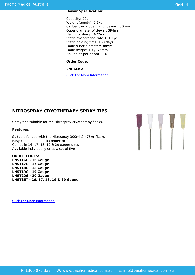#### <span id="page-4-0"></span>**Dewar Specification:**

Capacity: 20L Weight (empty): 9.5kg Caliber (neck opening of dewar): 50mm Outer diameter of dewar: 394mm Height of dewar: 672mm Static evaporation rate: 0.12L/d Static holding time: 168 days Ladle outer diameter: 38mm Ladle height: 120/276mm No. ladles per dewar:3~6

#### **Order Code:**

**LNPACK2**

[Click For More Information](https://pacificmedical.com.au/product/cryotherapy-package-two/?utm_source=file&utm_medium=PDF&utm_campaign=liquid-nitrogen-flask&utm_term=Cryotherapy+Package+Two)

# **NITROSPRAY CRYOTHERAPY SPRAY TIPS**

Spray tips suitable for the Nitrospray cryotherapy flasks.

#### **Features:**

Suitable for use with the Nitrospray 300ml & 475ml flasks Easy connect luer lock connector Comes in 16, 17, 18, 19 & 20 gauge sizes Available individually or as a set of five

**ORDER CODES: LNST16G - 16 Gauge LNST17G - 17 Gauge LNST18G - 18 Gauge LNST19G - 19 Gauge LNST20G - 20 Gauge LNSTSET - 16, 17, 18, 19 & 20 Gauge**

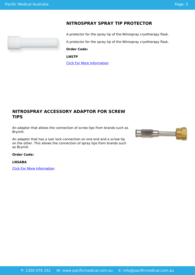### **NITROSPRAY SPRAY TIP PROTECTOR**

<span id="page-5-0"></span>

A protector for the spray tip of the Nitrospray cryotherapy flask.

A protector for the spray tip of the Nitrospray cryotherapy flask.

**Order Code:**

**LNSTP**

[Click For More Information](https://pacificmedical.com.au/product/nitrospray-spray-tip-protector/?utm_source=file&utm_medium=PDF&utm_campaign=liquid-nitrogen-flask&utm_term=Nitrospray+Spray+Tip+Protector)

# **NITROSPRAY ACCESSORY ADAPTOR FOR SCREW TIPS**

An adaptor that allows the connection of screw tips from brands such as Brymill.

An adaptor that has a luer lock connection on one end and a screw tip on the other. This allows the connection of spray tips from brands such as Brymill.



#### **Order Code:**

**LNSABA**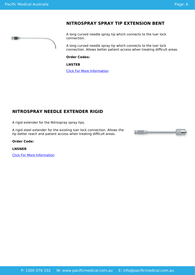<span id="page-6-0"></span>

### **NITROSPRAY SPRAY TIP EXTENSION BENT**

A long curved needle spray tip which connects to the luer lock connection.

A long curved needle spray tip which connects to the luer lock connection. Allows better patient access when treating difficult areas.

#### **Order Codes:**

**LNSTEB**

[Click For More Information](https://pacificmedical.com.au/product/nitrospray-spray-tip-extension-bent/?utm_source=file&utm_medium=PDF&utm_campaign=liquid-nitrogen-flask&utm_term=Nitrospray+Spray+Tip+Extension+Bent)

# **NITROSPRAY NEEDLE EXTENDER RIGID**

A rigid extender for the Nitrospray spray tips.

A rigid steel extender for the existing luer lock connection. Allows the tip better reach and patient access when treating difficult areas.

#### **Order Code:**

#### **LNSNER**

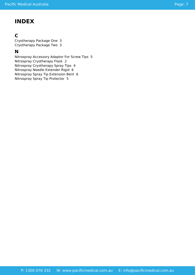# **INDEX**

### **C**

Cryotherapy Package One [3](#page-3-0) Cryotherapy Package Two [3](#page-3-0)

# **N**

Nitrospray Accessory Adaptor For Screw Tips [5](#page-5-0) Nitrospray Cryotherapy Flask [2](#page-2-1) Nitrospray Cryotherapy Spray Tips [4](#page-4-0) Nitrospray Needle Extender Rigid [6](#page-6-0) Nitrospray Spray Tip Extension Bent [6](#page-6-0) Nitrospray Spray Tip Protector [5](#page-5-0)